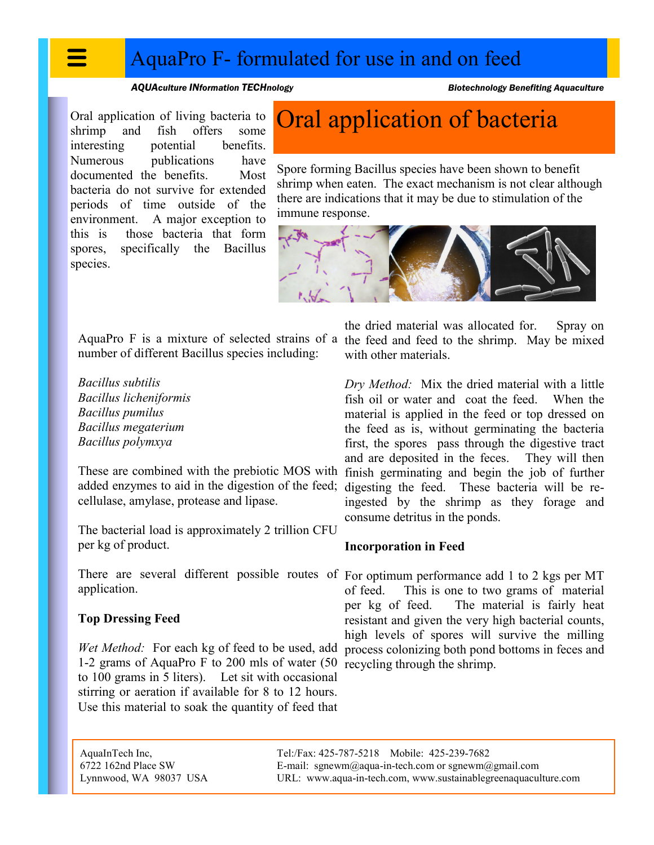## AquaPro F- formulated for use in and on feed

#### *AQUAculture INformation TECHnology Biotechnology Benefiting Aquaculture*

Oral application of living bacteria to shrimp and fish offers some interesting potential benefits. Numerous publications have documented the benefits. Most bacteria do not survive for extended periods of time outside of the environment. A major exception to this is those bacteria that form spores, specifically the Bacillus species.

# Oral application of bacteria

Spore forming Bacillus species have been shown to benefit shrimp when eaten. The exact mechanism is not clear although there are indications that it may be due to stimulation of the immune response.



number of different Bacillus species including:

*Bacillus subtilis Bacillus licheniformis Bacillus pumilus Bacillus megaterium Bacillus polymxya*

cellulase, amylase, protease and lipase.

The bacterial load is approximately 2 trillion CFU per kg of product.

There are several different possible routes of For optimum performance add 1 to 2 kgs per MT application.

### **Top Dressing Feed**

1-2 grams of AquaPro F to 200 mls of water (50 recycling through the shrimp. to 100 grams in 5 liters). Let sit with occasional stirring or aeration if available for 8 to 12 hours. Use this material to soak the quantity of feed that

AquaPro F is a mixture of selected strains of a the feed and feed to the shrimp. May be mixed the dried material was allocated for. Spray on with other materials.

These are combined with the prebiotic MOS with finish germinating and begin the job of further added enzymes to aid in the digestion of the feed; digesting the feed. These bacteria will be re-*Dry Method:* Mix the dried material with a little fish oil or water and coat the feed. When the material is applied in the feed or top dressed on the feed as is, without germinating the bacteria first, the spores pass through the digestive tract and are deposited in the feces. They will then ingested by the shrimp as they forage and consume detritus in the ponds.

#### **Incorporation in Feed**

Wet Method: For each kg of feed to be used, add process colonizing both pond bottoms in feces and of feed. This is one to two grams of material per kg of feed. The material is fairly heat resistant and given the very high bacterial counts, high levels of spores will survive the milling

AquaInTech Inc, 6722 162nd Place SW Lynnwood, WA 98037 USA Tel:/Fax: 425-787-5218 Mobile: 425-239-7682 E-mail: sgnewm@aqua-in-tech.com or sgnewm@gmail.com URL: www.aqua-in-tech.com, www.sustainablegreenaquaculture.com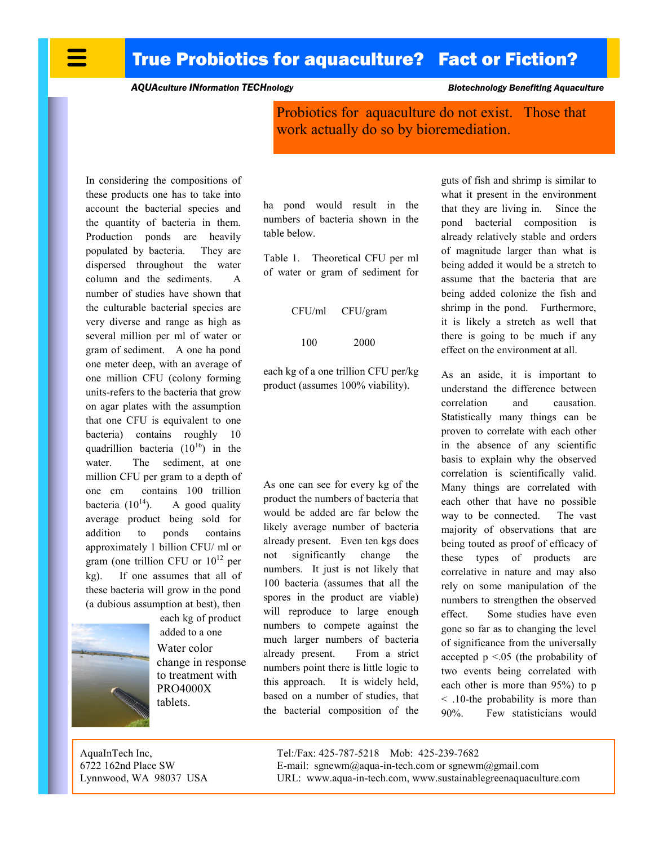*AQUAculture INformation TECHnology Biotechnology Benefiting Aquaculture*

Probiotics for aquaculture do not exist. Those that work actually do so by bioremediation.

In considering the compositions of these products one has to take into account the bacterial species and the quantity of bacteria in them. Production ponds are heavily populated by bacteria. They are dispersed throughout the water column and the sediments. A number of studies have shown that the culturable bacterial species are very diverse and range as high as several million per ml of water or gram of sediment. A one ha pond one meter deep, with an average of one million CFU (colony forming units-refers to the bacteria that grow on agar plates with the assumption that one CFU is equivalent to one bacteria) contains roughly 10 quadrillion bacteria  $(10^{16})$  in the water. The sediment, at one million CFU per gram to a depth of one cm contains 100 trillion bacteria  $(10^{14})$ . A good quality average product being sold for addition to ponds contains approximately 1 billion CFU/ ml or gram (one trillion CFU or  $10^{12}$  per kg). If one assumes that all of these bacteria will grow in the pond (a dubious assumption at best), then



added to a one Water color change in response to treatment with PRO4000X tablets.

each kg of product

ha pond would result in the numbers of bacteria shown in the table below.

Table 1. Theoretical CFU per ml of water or gram of sediment for

CFU/ml CFU/gram 100 2000

each kg of a one trillion CFU per/kg product (assumes 100% viability).

As one can see for every kg of the product the numbers of bacteria that would be added are far below the likely average number of bacteria already present. Even ten kgs does not significantly change the numbers. It just is not likely that 100 bacteria (assumes that all the spores in the product are viable) will reproduce to large enough numbers to compete against the much larger numbers of bacteria already present. From a strict numbers point there is little logic to this approach. It is widely held, based on a number of studies, that the bacterial composition of the

guts of fish and shrimp is similar to what it present in the environment that they are living in. Since the pond bacterial composition is already relatively stable and orders of magnitude larger than what is being added it would be a stretch to assume that the bacteria that are being added colonize the fish and shrimp in the pond. Furthermore, it is likely a stretch as well that there is going to be much if any effect on the environment at all.

As an aside, it is important to understand the difference between correlation and causation. Statistically many things can be proven to correlate with each other in the absence of any scientific basis to explain why the observed correlation is scientifically valid. Many things are correlated with each other that have no possible way to be connected. The vast majority of observations that are being touted as proof of efficacy of these types of products are correlative in nature and may also rely on some manipulation of the numbers to strengthen the observed effect. Some studies have even gone so far as to changing the level of significance from the universally accepted  $p \le 0.05$  (the probability of two events being correlated with each other is more than 95%) to p < .10-the probability is more than 90%. Few statisticians would

AquaInTech Inc, 6722 162nd Place SW Lynnwood, WA 98037 USA Tel:/Fax: 425-787-5218 Mob: 425-239-7682 E-mail: sgnewm@aqua-in-tech.com or sgnewm@gmail.com URL: www.aqua-in-tech.com, www.sustainablegreenaquaculture.com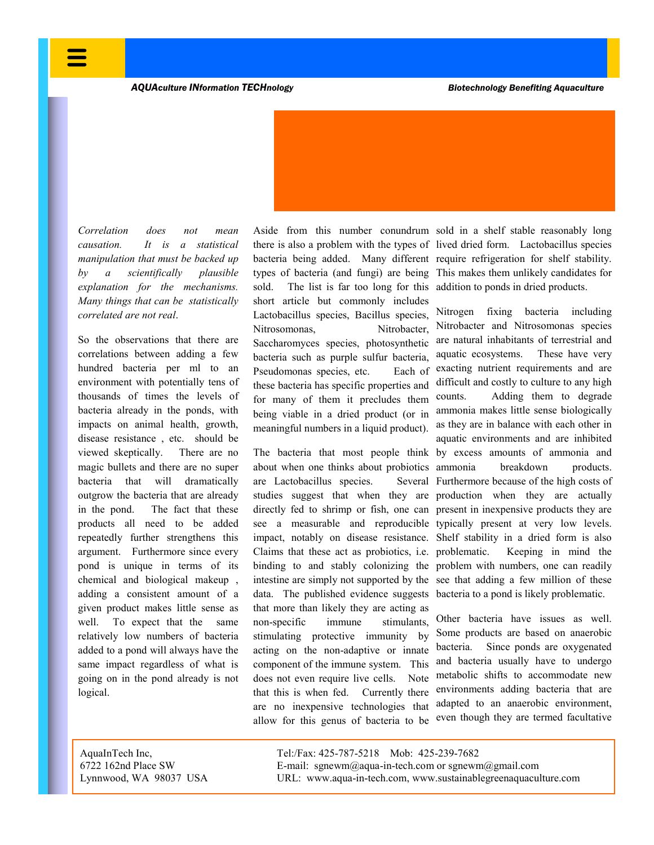*AQUAculture INformation TECHnology Biotechnology Benefiting Aquaculture*

*Correlation does not mean causation. It is a statistical manipulation that must be backed up by a scientifically plausible explanation for the mechanisms. Many things that can be statistically correlated are not real*.

So the observations that there are correlations between adding a few hundred bacteria per ml to an environment with potentially tens of thousands of times the levels of bacteria already in the ponds, with impacts on animal health, growth, disease resistance , etc. should be viewed skeptically. There are no magic bullets and there are no super bacteria that will dramatically outgrow the bacteria that are already in the pond. The fact that these products all need to be added repeatedly further strengthens this argument. Furthermore since every pond is unique in terms of its chemical and biological makeup , adding a consistent amount of a given product makes little sense as well. To expect that the same relatively low numbers of bacteria added to a pond will always have the same impact regardless of what is going on in the pond already is not logical.

Aside from this number conundrum sold in a shelf stable reasonably long types of bacteria (and fungi) are being sold. The list is far too long for this addition to ponds in dried products. short article but commonly includes Lactobacillus species, Bacillus species, Nitrosomonas, Nitrobacter, Saccharomyces species, photosynthetic bacteria such as purple sulfur bacteria, Pseudomonas species, etc. Each of these bacteria has specific properties and for many of them it precludes them being viable in a dried product (or in meaningful numbers in a liquid product).

about when one thinks about probiotics are Lactobacillus species. studies suggest that when they are Claims that these act as probiotics, i.e. data. The published evidence suggests bacteria to a pond is likely problematic. that more than likely they are acting as non-specific immune stimulants, stimulating protective immunity by acting on the non-adaptive or innate component of the immune system. This does not even require live cells. Note that this is when fed. Currently there are no inexpensive technologies that allow for this genus of bacteria to be

there is also a problem with the types of lived dried form. Lactobacillus species bacteria being added. Many different require refrigeration for shelf stability. This makes them unlikely candidates for

The bacteria that most people think by excess amounts of ammonia and directly fed to shrimp or fish, one can present in inexpensive products they are see a measurable and reproducible typically present at very low levels. impact, notably on disease resistance. Shelf stability in a dried form is also binding to and stably colonizing the problem with numbers, one can readily intestine are simply not supported by the see that adding a few million of these Nitrogen fixing bacteria including Nitrobacter and Nitrosomonas species are natural inhabitants of terrestrial and aquatic ecosystems. These have very exacting nutrient requirements and are difficult and costly to culture to any high counts. Adding them to degrade ammonia makes little sense biologically as they are in balance with each other in aquatic environments and are inhibited breakdown products. Several Furthermore because of the high costs of production when they are actually problematic. Keeping in mind the

> Other bacteria have issues as well. Some products are based on anaerobic bacteria. Since ponds are oxygenated and bacteria usually have to undergo metabolic shifts to accommodate new environments adding bacteria that are adapted to an anaerobic environment, even though they are termed facultative

AquaInTech Inc, 6722 162nd Place SW Lynnwood, WA 98037 USA Tel:/Fax: 425-787-5218 Mob: 425-239-7682 E-mail: sgnewm@aqua-in-tech.com or sgnewm@gmail.com URL: www.aqua-in-tech.com, www.sustainablegreenaquaculture.com